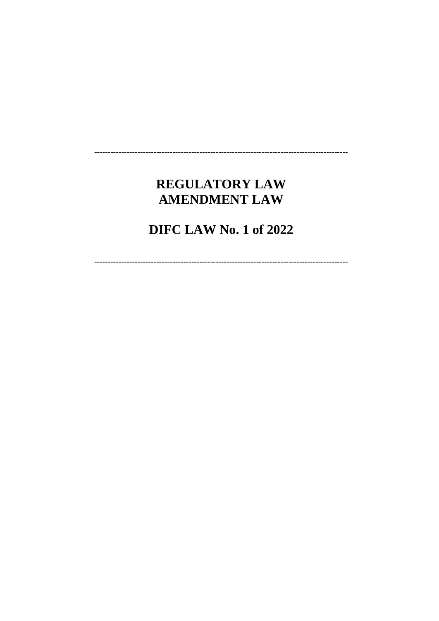## **REGULATORY LAW AMENDMENT LAW**

# **DIFC LAW No. 1 of 2022**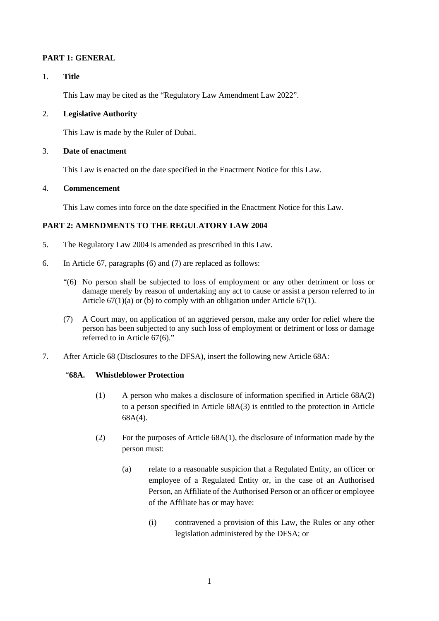### **PART 1: GENERAL**

#### 1. **Title**

This Law may be cited as the "Regulatory Law Amendment Law 2022".

#### 2. **Legislative Authority**

This Law is made by the Ruler of Dubai.

#### 3. **Date of enactment**

This Law is enacted on the date specified in the Enactment Notice for this Law.

#### 4. **Commencement**

This Law comes into force on the date specified in the Enactment Notice for this Law.

## **PART 2: AMENDMENTS TO THE REGULATORY LAW 2004**

- 5. The Regulatory Law 2004 is amended as prescribed in this Law.
- 6. In Article 67, paragraphs (6) and (7) are replaced as follows:
	- "(6) No person shall be subjected to loss of employment or any other detriment or loss or damage merely by reason of undertaking any act to cause or assist a person referred to in Article  $67(1)(a)$  or (b) to comply with an obligation under Article  $67(1)$ .
	- (7) A Court may, on application of an aggrieved person, make any order for relief where the person has been subjected to any such loss of employment or detriment or loss or damage referred to in Article 67(6)."
- 7. After Article 68 (Disclosures to the DFSA), insert the following new Article 68A:

#### "**68A. Whistleblower Protection**

- (1) A person who makes a disclosure of information specified in Article 68A(2) to a person specified in Article 68A(3) is entitled to the protection in Article 68A(4).
- (2) For the purposes of Article  $68A(1)$ , the disclosure of information made by the person must:
	- (a) relate to a reasonable suspicion that a Regulated Entity, an officer or employee of a Regulated Entity or, in the case of an Authorised Person, an Affiliate of the Authorised Person or an officer or employee of the Affiliate has or may have:
		- (i) contravened a provision of this Law, the Rules or any other legislation administered by the DFSA; or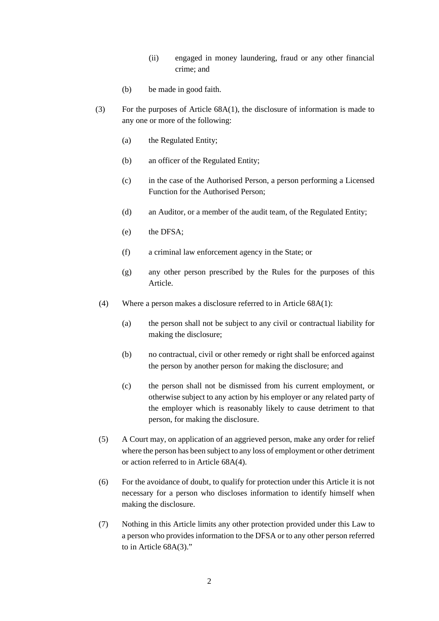- (ii) engaged in money laundering, fraud or any other financial crime; and
- (b) be made in good faith.
- (3) For the purposes of Article 68A(1), the disclosure of information is made to any one or more of the following:
	- (a) the Regulated Entity;
	- (b) an officer of the Regulated Entity;
	- (c) in the case of the Authorised Person, a person performing a Licensed Function for the Authorised Person;
	- (d) an Auditor, or a member of the audit team, of the Regulated Entity;
	- (e) the DFSA;
	- (f) a criminal law enforcement agency in the State; or
	- (g) any other person prescribed by the Rules for the purposes of this Article.
- (4) Where a person makes a disclosure referred to in Article 68A(1):
	- (a) the person shall not be subject to any civil or contractual liability for making the disclosure;
	- (b) no contractual, civil or other remedy or right shall be enforced against the person by another person for making the disclosure; and
	- (c) the person shall not be dismissed from his current employment, or otherwise subject to any action by his employer or any related party of the employer which is reasonably likely to cause detriment to that person, for making the disclosure.
- (5) A Court may, on application of an aggrieved person, make any order for relief where the person has been subject to any loss of employment or other detriment or action referred to in Article 68A(4).
- (6) For the avoidance of doubt, to qualify for protection under this Article it is not necessary for a person who discloses information to identify himself when making the disclosure.
- (7) Nothing in this Article limits any other protection provided under this Law to a person who provides information to the DFSA or to any other person referred to in Article 68A(3)."